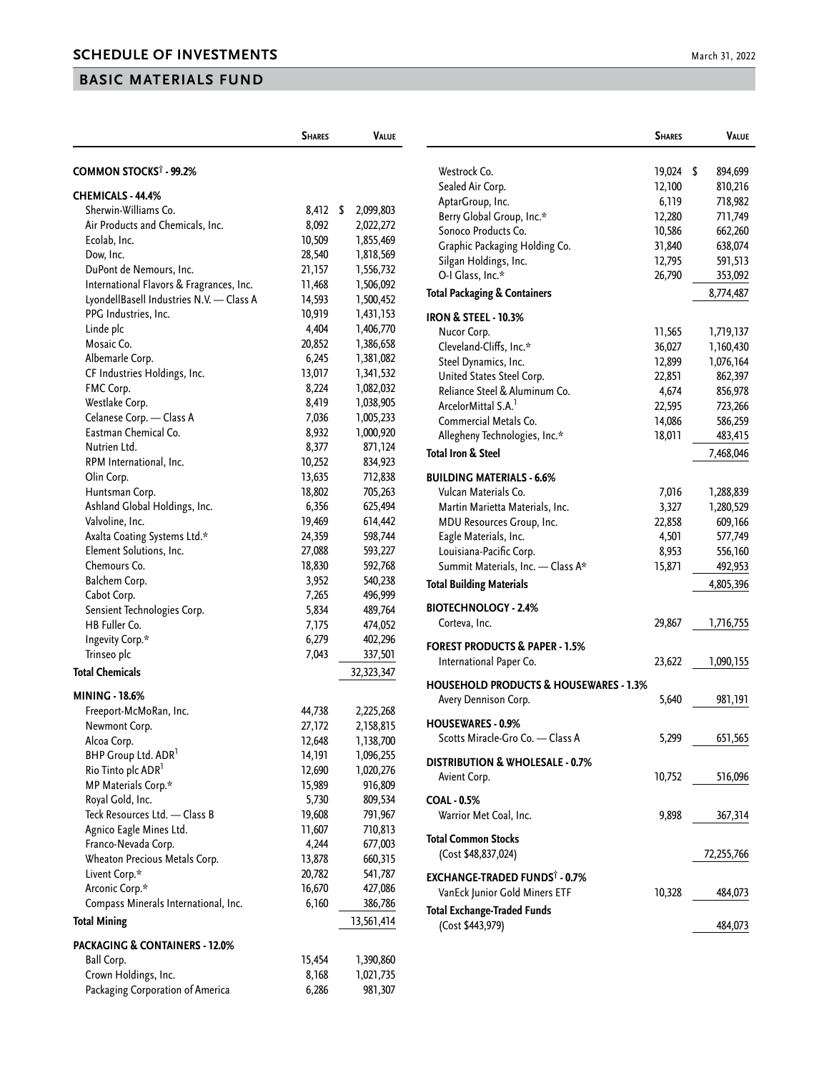## **BASIC MATERIALS FUND**

|                                                                  | <b>SHARES</b>    | <b>VALUE</b>           |                                                   | <b>SHARES</b> | <b>VALUE</b> |
|------------------------------------------------------------------|------------------|------------------------|---------------------------------------------------|---------------|--------------|
| COMMON STOCKS <sup>†</sup> - 99.2%                               |                  |                        | Westrock Co.                                      | 19,024 \$     | 894,699      |
|                                                                  |                  |                        | Sealed Air Corp.                                  | 12,100        | 810,216      |
| CHEMICALS - 44.4%                                                |                  |                        | AptarGroup, Inc.                                  | 6,119         | 718,982      |
| Sherwin-Williams Co.                                             | 8,412 \$         | 2,099,803              | Berry Global Group, Inc.*                         | 12,280        | 711,749      |
| Air Products and Chemicals, Inc.                                 | 8,092            | 2,022,272              | Sonoco Products Co.                               | 10,586        | 662,260      |
| Ecolab, Inc.                                                     | 10,509           | 1,855,469              | Graphic Packaging Holding Co.                     | 31,840        | 638,074      |
| Dow, Inc.                                                        | 28,540           | 1,818,569              | Silgan Holdings, Inc.                             | 12,795        | 591,513      |
| DuPont de Nemours, Inc.                                          | 21,157           | 1,556,732              | O-I Glass, Inc.*                                  | 26,790        | 353,092      |
| International Flavors & Fragrances, Inc.                         | 11,468           | 1,506,092              | <b>Total Packaging &amp; Containers</b>           |               | 8,774,487    |
| LyondellBasell Industries N.V. - Class A<br>PPG Industries, Inc. | 14,593<br>10,919 | 1,500,452<br>1,431,153 |                                                   |               |              |
| Linde plc                                                        | 4,404            | 1,406,770              | <b>IRON &amp; STEEL - 10.3%</b>                   |               |              |
| Mosaic Co.                                                       | 20,852           | 1,386,658              | Nucor Corp.                                       | 11,565        | 1,719,137    |
| Albemarle Corp.                                                  | 6,245            | 1,381,082              | Cleveland-Cliffs, Inc.*                           | 36,027        | 1,160,430    |
| CF Industries Holdings, Inc.                                     | 13,017           | 1,341,532              | Steel Dynamics, Inc.                              | 12,899        | 1,076,164    |
| FMC Corp.                                                        | 8,224            | 1,082,032              | United States Steel Corp.                         | 22,851        | 862,397      |
| Westlake Corp.                                                   | 8,419            | 1,038,905              | Reliance Steel & Aluminum Co.                     | 4,674         | 856,978      |
| Celanese Corp. - Class A                                         | 7,036            | 1,005,233              | ArcelorMittal S.A. <sup>1</sup>                   | 22,595        | 723,266      |
| Eastman Chemical Co.                                             | 8,932            | 1,000,920              | Commercial Metals Co.                             | 14,086        | 586,259      |
| Nutrien Ltd.                                                     | 8,377            | 871,124                | Allegheny Technologies, Inc.*                     | 18,011        | 483,415      |
| RPM International, Inc.                                          | 10,252           | 834,923                | <b>Total Iron &amp; Steel</b>                     |               | 7,468,046    |
| Olin Corp.                                                       | 13,635           | 712,838                | <b>BUILDING MATERIALS - 6.6%</b>                  |               |              |
| Huntsman Corp.                                                   | 18,802           | 705,263                | Vulcan Materials Co.                              | 7,016         | 1,288,839    |
| Ashland Global Holdings, Inc.                                    | 6,356            | 625,494                | Martin Marietta Materials, Inc.                   | 3,327         | 1,280,529    |
| Valvoline, Inc.                                                  | 19,469           | 614,442                | MDU Resources Group, Inc.                         | 22,858        | 609,166      |
| Axalta Coating Systems Ltd.*                                     | 24,359           | 598,744                | Eagle Materials, Inc.                             | 4,501         | 577,749      |
| Element Solutions, Inc.                                          | 27,088           | 593,227                | Louisiana-Pacific Corp.                           | 8,953         | 556,160      |
| Chemours Co.                                                     | 18,830           | 592,768                | Summit Materials, Inc. - Class A*                 | 15,871        | 492,953      |
| Balchem Corp.                                                    | 3,952            | 540,238                |                                                   |               |              |
| Cabot Corp.                                                      | 7,265            | 496,999                | <b>Total Building Materials</b>                   |               | 4,805,396    |
| Sensient Technologies Corp.                                      | 5,834            | 489,764                | <b>BIOTECHNOLOGY - 2.4%</b>                       |               |              |
| HB Fuller Co.                                                    | 7,175            | 474,052                | Corteva, Inc.                                     | 29,867        | 1,716,755    |
| Ingevity Corp.*                                                  | 6,279            | 402,296                |                                                   |               |              |
| Trinseo plc                                                      | 7,043            | 337,501                | <b>FOREST PRODUCTS &amp; PAPER - 1.5%</b>         |               |              |
| <b>Total Chemicals</b>                                           |                  | 32,323,347             | International Paper Co.                           | 23,622        | 1,090,155    |
|                                                                  |                  |                        | <b>HOUSEHOLD PRODUCTS &amp; HOUSEWARES - 1.3%</b> |               |              |
| <b>MINING - 18.6%</b>                                            |                  |                        | Avery Dennison Corp.                              | 5,640         | 981,191      |
| Freeport-McMoRan, Inc.                                           | 44,738           | 2,225,268              |                                                   |               |              |
| Newmont Corp.                                                    | 27,172           | 2,158,815              | <b>HOUSEWARES - 0.9%</b>                          |               |              |
| Alcoa Corp.                                                      | 12,648           | 1,138,700              | Scotts Miracle-Gro Co. - Class A                  | 5,299         | 651,565      |
| BHP Group Ltd. ADR <sup>1</sup>                                  | 14,191           | 1,096,255              | DISTRIBUTION & WHOLESALE - 0.7%                   |               |              |
| Rio Tinto plc ADR <sup>1</sup>                                   | 12,690           | 1,020,276              | Avient Corp.                                      | 10,752        | 516,096      |
| MP Materials Corp.*                                              | 15,989           | 916,809                |                                                   |               |              |
| Royal Gold, Inc.                                                 | 5,730            | 809,534                | <b>COAL - 0.5%</b>                                |               |              |
| Teck Resources Ltd. - Class B                                    | 19,608           | 791,967                | Warrior Met Coal, Inc.                            | 9,898         | 367,314      |
| Agnico Eagle Mines Ltd.                                          | 11,607           | 710,813                | <b>Total Common Stocks</b>                        |               |              |
| Franco-Nevada Corp.                                              | 4,244            | 677,003                | (Cost \$48,837,024)                               |               | 72,255,766   |
| Wheaton Precious Metals Corp.                                    | 13,878           | 660,315                |                                                   |               |              |
| Livent Corp.*                                                    | 20,782           | 541,787                | <b>EXCHANGE-TRADED FUNDS<sup>®</sup> - 0.7%</b>   |               |              |
| Arconic Corp.*                                                   | 16,670           | 427,086                | VanEck Junior Gold Miners ETF                     | 10,328        | 484,073      |
| Compass Minerals International, Inc.                             | 6,160            | 386,786                | <b>Total Exchange-Traded Funds</b>                |               |              |
| <b>Total Mining</b>                                              |                  | 13,561,414             | (Cost \$443,979)                                  |               | 484,073      |
| <b>PACKAGING &amp; CONTAINERS - 12.0%</b>                        |                  |                        |                                                   |               |              |
| Ball Corp.                                                       | 15,454           | 1,390,860              |                                                   |               |              |
| Crown Holdings, Inc.                                             | 8,168            | 1,021,735              |                                                   |               |              |
| Packaging Corporation of America                                 | 6,286            | 981,307                |                                                   |               |              |